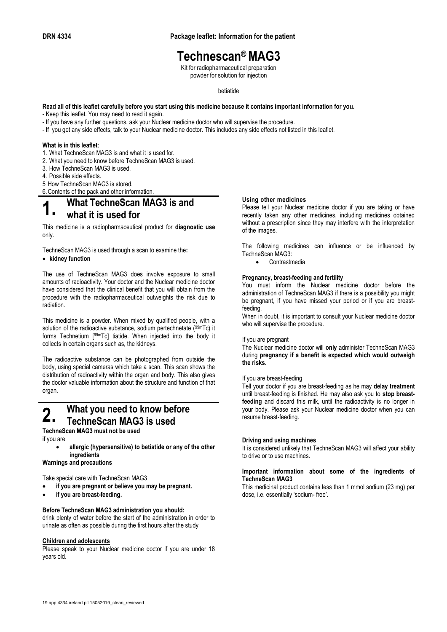## **Technescan® MAG3**

Kit for radiopharmaceutical preparation powder for solution for injection

### betiatide

**Read all of this leaflet carefully before you start using this medicine because it contains important information for you.** - Keep this leaflet. You may need to read it again.

- 
- If you have any further questions, ask your Nuclear medicine doctor who will supervise the procedure.
- If you get any side effects, talk to your Nuclear medicine doctor. This includes any side effects not listed in this leaflet.

### **What is in this leaflet**:

- 1. What TechneScan MAG3 is and what it is used for.
- 2. What you need to know before TechneScan MAG3 is used.
- 3. How TechneScan MAG3 is used.
- 4. Possible side effects.

5 How TechneScan MAG3 is stored.

6.Contents of the pack and other information.

### **1. What TechneScan MAG3 is and what it is used for**

This medicine is a radiopharmaceutical product for **diagnostic use** only.

TechneScan MAG3 is used through a scan to examine the**:**

### **kidney function**

The use of TechneScan MAG3 does involve exposure to small amounts of radioactivity. Your doctor and the Nuclear medicine doctor have considered that the clinical benefit that you will obtain from the procedure with the radiopharmaceutical outweights the risk due to radiation.

This medicine is a powder. When mixed by qualified people, with a solution of the radioactive substance, sodium pertechnetate (99mTc) it forms Technetium [99mTc] tiatide. When injected into the body it collects in certain organs such as, the kidneys.

The radioactive substance can be photographed from outside the body, using special cameras which take a scan. This scan shows the distribution of radioactivity within the organ and body. This also gives the doctor valuable information about the structure and function of that organ.

## **2.** What you need to know before **TechneScan MAG3 is used**

**TechneScan MAG3 must not be used**

if you are

 **allergic (hypersensitive) to betiatide or any of the other ingredients**

**Warnings and precautions**

Take special care with TechneScan MAG3

- **if you are pregnant or believe you may be pregnant.**
- **if you are breast-feeding.**

### **Before TechneScan MAG3 administration you should:**

drink plenty of water before the start of the administration in order to urinate as often as possible during the first hours after the study

### **Children and adolescents**

Please speak to your Nuclear medicine doctor if you are under 18 years old.

### **Using other medicines**

Please tell your Nuclear medicine doctor if you are taking or have recently taken any other medicines, including medicines obtained without a prescription since they may interfere with the interpretation of the images.

The following medicines can influence or be influenced by TechneScan MAG3:

Contrastmedia

### **Pregnancy, breast-feeding and fertility**

You must inform the Nuclear medicine doctor before the administration of TechneScan MAG3 if there is a possibility you might be pregnant, if you have missed your period or if you are breastfeeding.

When in doubt, it is important to consult your Nuclear medicine doctor who will supervise the procedure.

### If you are pregnant

The Nuclear medicine doctor will **only** administer TechneScan MAG3 during **pregnancy if a benefit is expected which would outweigh the risks**.

#### If you are breast-feeding

Tell your doctor if you are breast-feeding as he may **delay treatment** until breast-feeding is finished. He may also ask you to **stop breastfeeding** and discard this milk, until the radioactivity is no longer in your body. Please ask your Nuclear medicine doctor when you can resume breast-feeding.

#### **Driving and using machines**

It is considered unlikely that TechneScan MAG3 will affect your ability to drive or to use machines.

### **Important information about some of the ingredients of TechneScan MAG3**

This medicinal product contains less than 1 mmol sodium (23 mg) per dose, i.e. essentially 'sodium- free'.